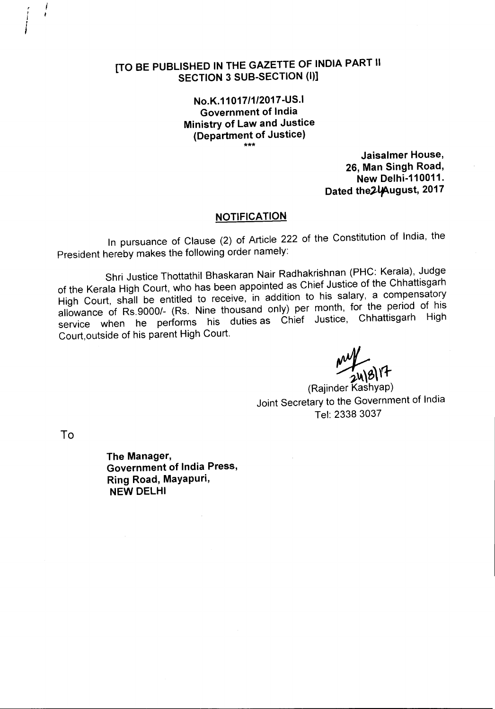No.K.11017/1/2017-US.1 Government of India Ministry of Law and Justice (Department of Justice)

\*\*\*

Jaisalmer House, 26, Man Singh Road, New Delhi-110011. Dated the2l<sub>f</sub>August, 2017

## **NOTIFICATION**

In pursuance of Clause (2) of Article 222 of the Constitution of India, the President hereby makes the following order namely:

Shri Justice Thottathil Bhaskaran Nair Radhakrishnan (PHC: Kerala), Judge of the Kerala High Court, who has been appointed as Chief Justice of the Chhattisgarh High Court, shall be entitled to receive, in addition to his salary, a compensatory allowance of Rs.9000/- (Rs. Nine thousand only) per month, for the period of his service when he performs his duties as Chief Justice, Chhattisgarh High Court,outside of his parent High Court.

~  $248$ <sup>17</sup>

(Rajinder Kashyap) Joint Secretary to the Government of India Tel: 23383037

To

, I I *I*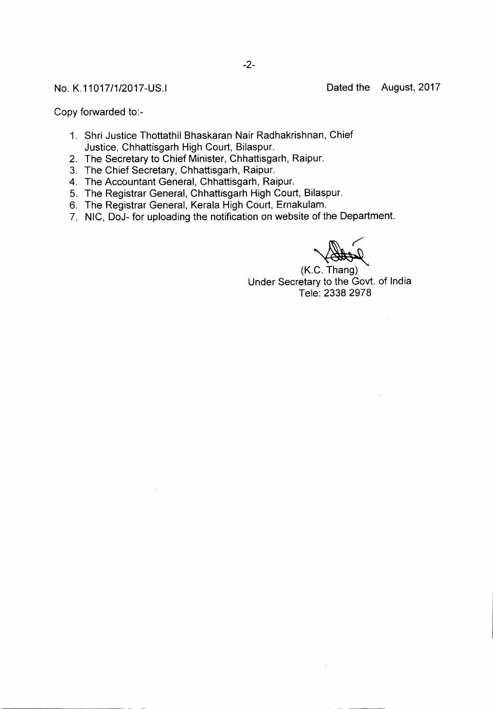Copy forwarded to:-

- 1. Shri Justice Thottathil Bhaskaran Nair Radhakrishnan, Chief Justice, Chhattisgarh High Court, Bilaspur.
- 2. The Secretary to Chief Minister, Chhattisgarh, Raipur.
- 3. The Chief Secretary, Chhattisgarh, Raipur.
- 4. The Accountant General, Chhattisgarh, Raipur.
- 5. The Registrar General, Chhattisgarh High Court, Bilaspur.
- 6. The Registrar General, Kerala High Court, Ernakulam.
- 7. NIC, DoJ- for uploading the notification on website of the Department.

~ (K.C. Thang) Under Secretary to the Govt. of India Tele: 23382978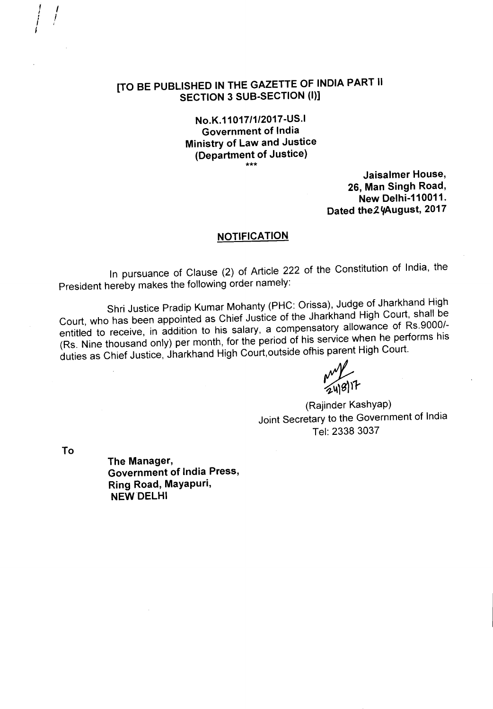**No.K.11017/1/2017-US.1 Government of India Ministry of Law and Justice (Department of Justice)** \*\*\*

**Jaisalmer House, 26, Man Singh Road, New Delhi-11 0011.** Dated the2 yAugust, 2017

## **NOTIFICATION**

**In** pursuance of Clause (2) of Article 222 of the Constitution of India, the President hereby makes the following order namely:

Shri Justice Pradip Kumar Mohanty (PHC: Orissa), Judge of Jharkhand High Court, who has been appointed as Chief Justice of the Jharkhand High Court, shall be entitled to receive, in addition to his salary, a compensatory allowance of Rs.9000/- (Rs. Nine thousand only) per month, for the period of his service when he performs his duties as Chief Justice, Jharkhand High Court,outside ofhis parent High Court.

w /<br>2418117

(Rajinder Kashyap) Joint Secretary to the Government of India Tel: 2338 3037

**To**

 $\hat{I}=\hat{I}$ *i I I*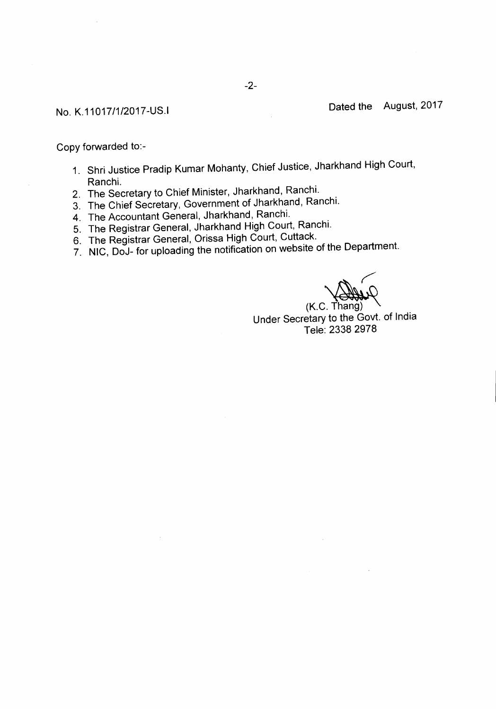Copy forwarded to:-

- 1. Shri Justice Pradip Kumar Mohanty, Chief Justice, Jharkhand High Court, Ranchi.
- 2. The Secretary to Chief Minister, Jharkhand, Ranchi.
- 3. The Chief Secretary, Government of Jharkhand, Ranchi.
- 4. The Accountant General, Jharkhand, Ranchi.
- 5. The Registrar General, Jharkhand High Court, Ranchi.
- 6. The Registrar General, Orissa High Court, Cuttack.
- 7. NIC, DoJ- for uploading the notification on website of the Department.

*r*

 $(K.C. Thang)$ Under Secretary to the Govt. of India Tele: 23382978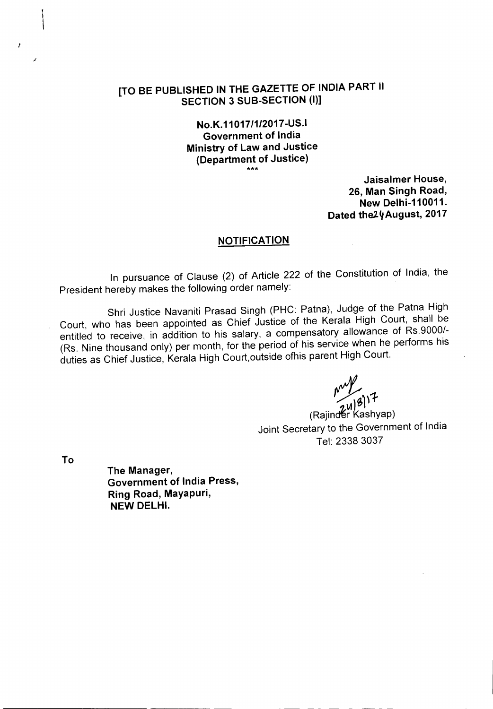## **No.K.11** *017/1/2017* **-US.I Government of India Ministry of Law and Justice (Department of Justice)** \*\*\*

**Jaisalmer House,** 26, **Man Singh Road, New Delhi-110011.** Dated the<sup>2</sup>y August, 2017

## **NOTIFICATION**

In pursuance of Clause (2) of Article 222 of the Constitution of India, the President hereby makes the following order namely:

Shri Justice Navaniti Prasad Singh (PHC: Patna), Judge of the Patna High Court, who has been appointed as Chief Justice of the Kerala High Court, shall be entitled to receive, in addition to his salary, a compensatory allowance of RS.9000/- (Rs. Nine thousand only) per month, for the period of his service when he performs his duties as Chief Justice, Kerala High Court,outside ofhis parent High Court.

 $\sim$ 

(Rajind**é**r Kashyap) Joint Secretary to the Government of India Tel: 23383037

**To**

 $\mathbf{r}$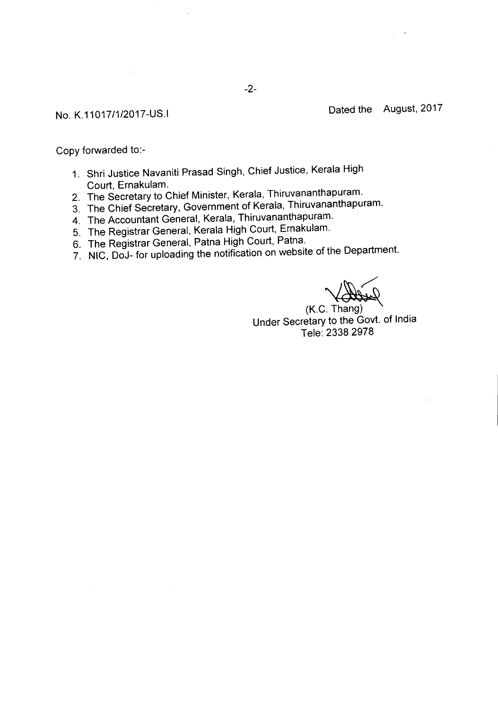Copy forwarded to:-

- 1. Shri Justice Navaniti Prasad Singh, Chief Justice, Kerala High Court, Ernakulam.
- 2. The Secretary to Chief Minister, Kerala, Thiruvananthapuram.
- 3. The Chief Secretary, Government of Kerala, Thiruvananthapuram.
- 4. The Accountant General, Kerala, Thiruvananthapuram.
- 5. The Registrar General, Kerala High Court, Ernakulam.
- 6. The Registrar General, Patna High Court, Patna.
- 7. NIC, DoJ- for uploading the notification on website of the Department.

~ (K.C. Thang)

Under Secretary to the Govt. of India Tele: 2338 2978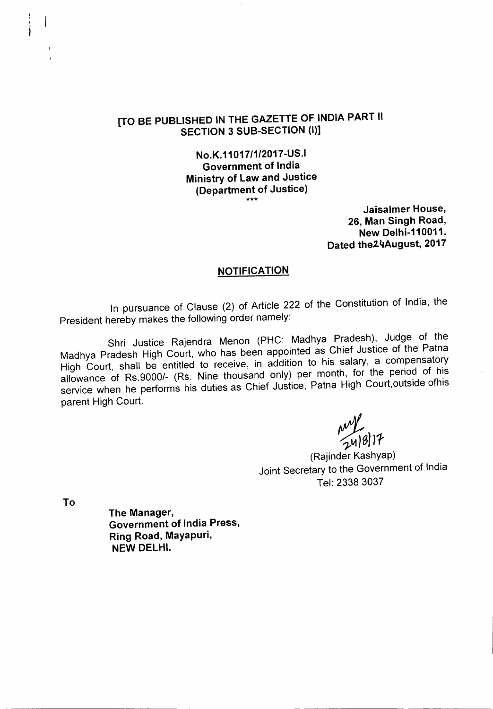No.K.11017/1/2017-US.I Government of India Ministry of Law and Justice (Department of Justice) \*\*\*

Jaisalmer House, 26, Man Singh Road, New Delhi-110011. Dated the24August, 2017

## **NOTIFICATION**

In pursuance of Clause (2) of Article 222 of the Constitution of India, the President hereby makes the following order namely:

Shri Justice Rajendra Menon (PHC: Madhya Pradesh), Judge of the Madhya Pradesh High Court, who has been appointed as Chief Justice of the Patna High Court, shall be entitled to receive, in addition to his salary, a compensatory allowance of Rs.9000/- (Rs. Nine thousand only) per month, for the period of his service when he performs his duties as Chief Justice, Patna High Court,outside ofhis parent High Court.

 $~\frac{1}{24|8|17}$ 

(Rajinder Kashyap) Joint Secretary to the Government of India Tel: 23383037

To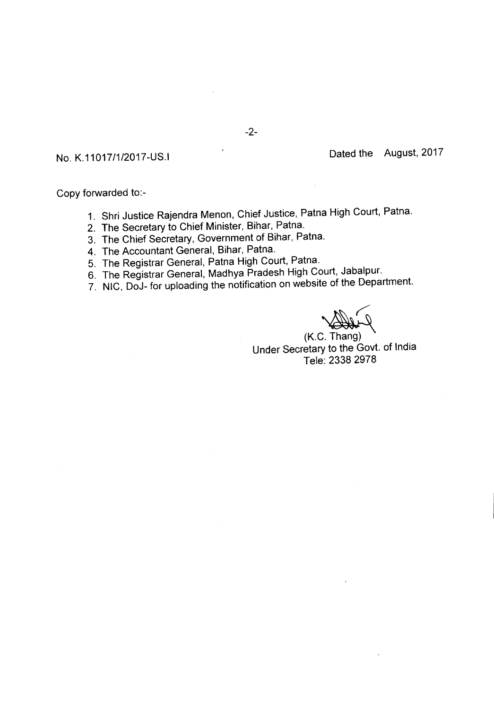Copy forwarded to:-

- 1. Shri Justice Rajendra Menon, Chief Justice, Patna High Court, Patna.
- 2. The Secretary to Chief Minister, Bihar, Patna.
- 3. The Chief Secretary, Government of Bihar, Patna.
- 4. The Accountant General, Bihar, Patna.
- 5. The Registrar General, Patna High Court, Patna.
- 6. The Registrar General, Madhya Pradesh High Court, Jabalpur.
- 7. NIC, DoJ- for uploading the notification on website of the Department.

~ (K.C. Thang)

Under Secretary to the Govt. of India Tele: 23382978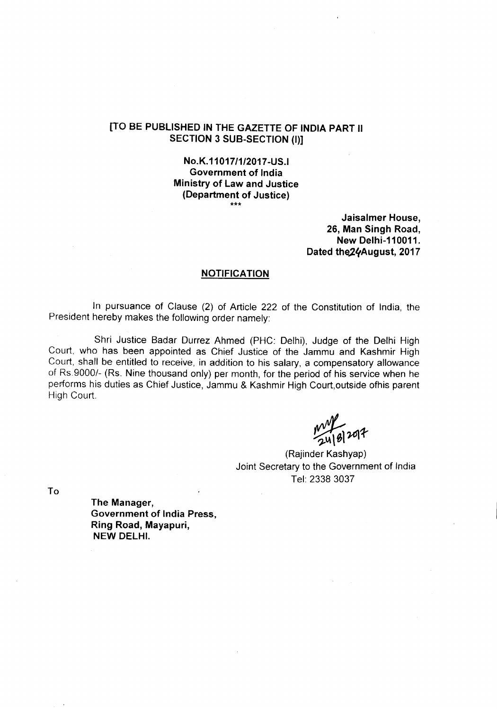No.K.11017/1/2017-US.I Government of India Ministry of Law and Justice (Department of Justice) \*\*\*

> Jaisalmer House, 26, Man Singh Road, **New Delhi-110011.** Dated the24August, 2017

### NOTIFICATION

In pursuance of Clause (2) of Article 222 of the Constitution of India, the President hereby makes the following order namely:

Shri Justice Badar Durrez Ahmed (PHC: Delhi), Judge of the Delhi High Court, who has been appointed as Chief Justice of the Jammu and Kashmir High Court, shall be entitled to receive, in addition to his salary, a compensatory allowance of Rs.9000/- (Rs. Nine thousand only) per month, for the period of his service when he performs his duties as Chief Justice, Jammu & Kashmir High Court,outside ofhis parent High Court.

 $mT_{el}$  2017

(Rajinder Kashyap) Joint Secretary to the Government of India Tel: 2338 3037

To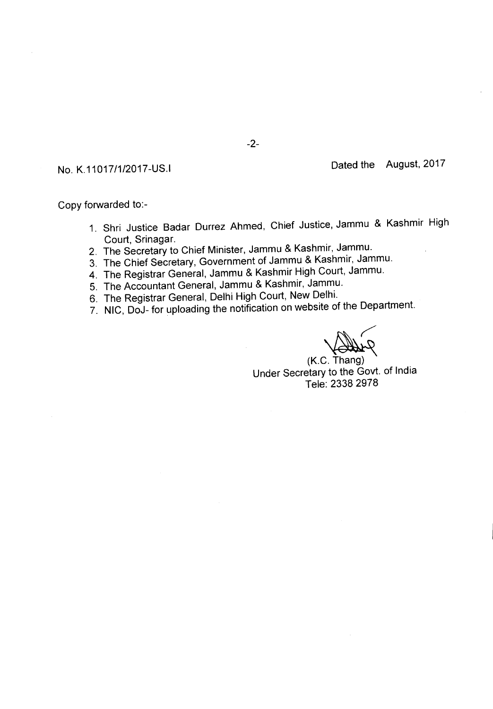Copy forwarded to:-

- 1. Shri Justice Badar Durrez Ahmed, Chief Justice, Jammu & Kashmir High Court, Srinagar.
- 2. The Secretary to Chief Minister, Jammu & Kashmir, Jammu.
- 3. The Chief Secretary, Government of Jammu & Kashmir, Jammu.
- 4. The Registrar General, Jammu & Kashmir High Court, Jammu.
- 5. The Accountant General, Jammu & Kashmir, Jammu.
- 6. The Registrar General, Delhi High Court, New Delhi.
- 7. NIC, DoJ- for uploading the notification on website of the Department.

 $(K.C. Thang)$ Under Secretary to the Govt. of India Tele: 23382978

-2-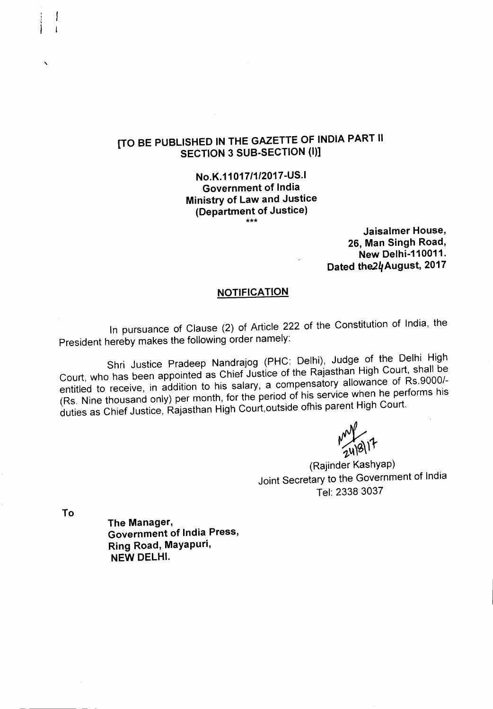## **No.K.11017/1/2017-US.I Government of India Ministry of Law and Justice (Department of Justice)** \*\*\*

**Jaisalmer House, 26, Man Singh Road, New Delhi-11 0011. Dated the24August, 2017**

## **NOTIFICATION**

In pursuance of Clause (2) of Article 222 of the Constitution of India, the President hereby makes the following order namely:

Shri Justice Pradeep Nandrajog (PHC: Delhi), Judge of the Delhi High Court, who has been appointed as Chief Justice of the Rajasthan High Court, shall be entitled to receive, in addition to his salary, a compensatory allowance of Rs.9000/- (Rs. Nine thousand only) per month, for the period of his service when he performs his duties as Chief Justice, Rajasthan High Court,outside ofhis parent High Court.

 $\frac{1}{248}$ 

(Rajinder Kashyap) Joint Secretary to the Government of India Tel: 2338 3037

**To**

,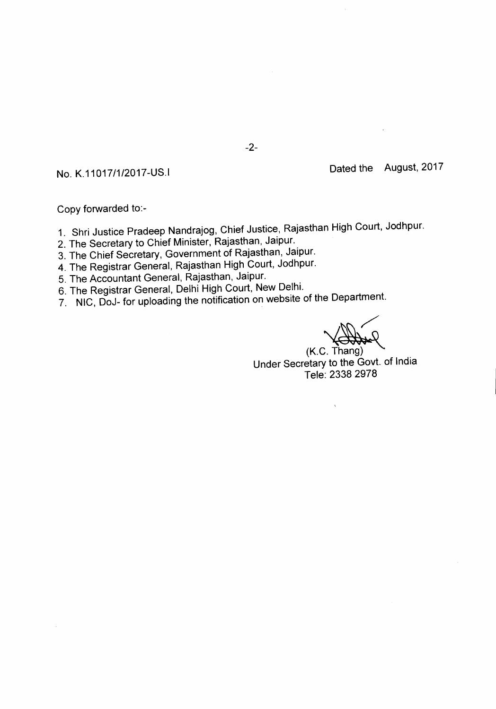Copy forwarded to:-

- 1. Shri Justice Pradeep Nandrajog, Chief Justice, Rajasthan High Court, Jodhpur.
- 2. The Secretary to Chief Minister, Rajasthan, Jaipur.
- 3. The Chief Secretary, Government of Rajasthan, Jaipur.
- 4. The Registrar General, Rajasthan High Court, Jodhpur.
- 5. The Accountant General, Rajasthan, Jaipur.
- 6. The Registrar General, Delhi High Court, New Delhi.
- 7. NIC, DoJ- for uploading the notification on website of the Department. *.:*

(K.C. Thang)

Under Secretary to the Govt. of India Tele: 23382978

 $\bar{\chi}$ 

-2-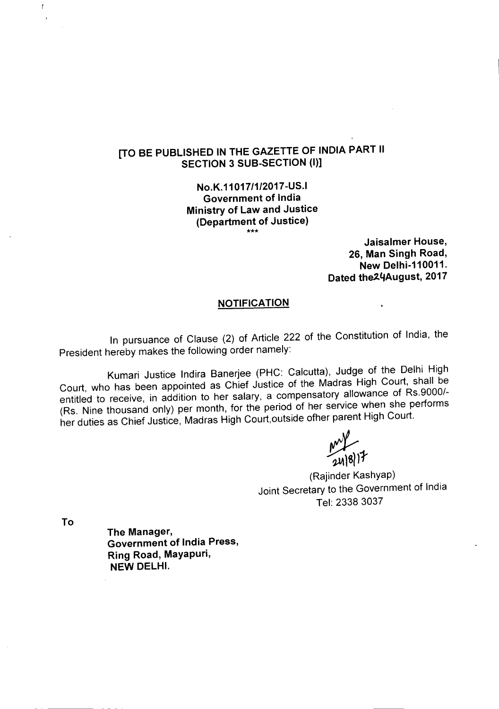No.K.11017/1/2017-US.1 Government of India Ministry of Law and Justice (Department of Justice) \*\*\*

> Jaisalmer House, 26, Man Singh Road, New Delhi-110011. Dated the24August, 2017

## **NOTIFICATION**

In pursuance of Clause (2) of Article 222 of the Constitution of India, the President hereby makes the following order namely:

Kumari Justice Indira Banerjee (PHC: Calcutta), Judge of the Delhi High Court, who has been appointed as Chief Justice of the Madras High Court, shall be entitled to receive, in addition to her salary, a compensatory allowance of Rs.9000/- (Rs. Nine thousand only) per month, for the period of her service when she performs her duties as Chief Justice, Madras High Court,outside ofher parent High Court.

 $\frac{1}{2}$ 

(Rajinder Kashyap) Joint Secretary to the Government of India Tel: 2338 3037

To

 $\bar{f}$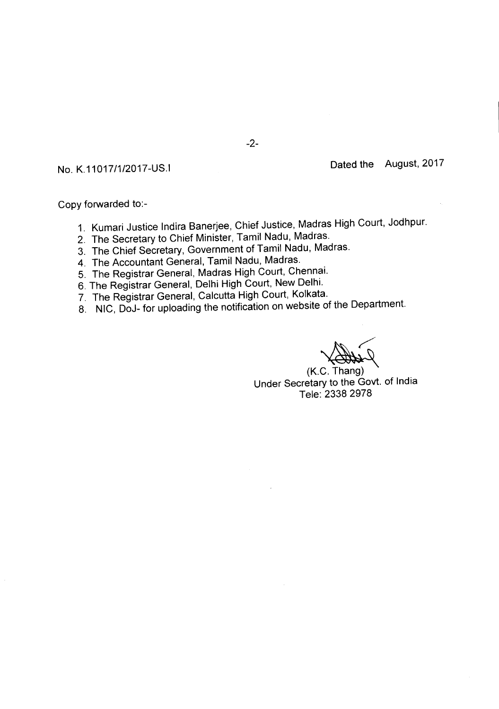Copy forwarded to:-

- 1. Kumari Justice Indira Banerjee, Chief Justice, Madras High Court, Jodhpur.
- 2. The Secretary to Chief Minister, Tamil Nadu, Madras.
- 3. The Chief Secretary, Government of Tamil Nadu, Madras.
- 4. The Accountant General, Tamil Nadu, Madras.
- 5. The Registrar General, Madras High Court, Chennai.
- 6. The Registrar General, Delhi High Court, New Delhi.
- 7. The Registrar General, Calcutta High Court, Kolkata.
- 8. NIC, DoJ- for uploading the notification on website of the Department.

 $(K.C. Thang)$ Under Secretary to the Govt. of India Tele: 2338 2978

-2-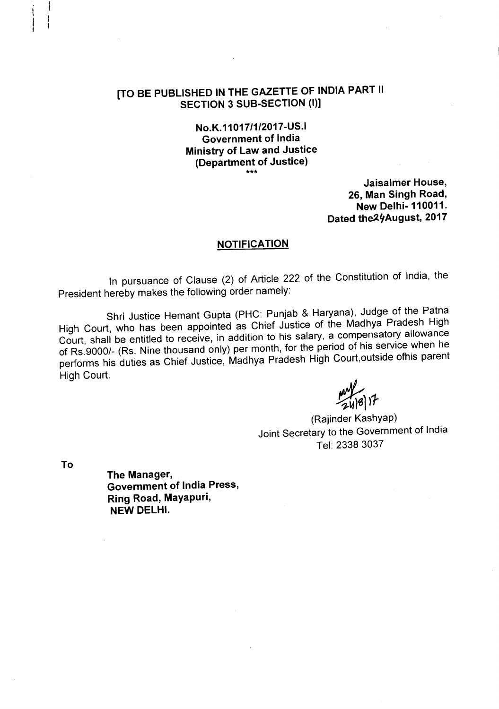## **No.K.11017/1/2017-US.1 Government of India Ministry of Law and Justice (Department of Justice)** \*\*\*

**Jaisalmer House, 26, Man Singh Road, New Delhi- 110011. Dated the 24 August, 2017** 

## **NOTIFICATION**

In pursuance of Clause (2) of Article 222 of the Constitution of India, the President hereby makes the following order namely:

Shri Justice Hemant Gupta (PHC: Punjab & Haryana), Judge of the Patna High Court, who has been appointed as Chief Justice of the Madhya Pradesh High Court, shall be entitled **to** receive, in addition to his salary, a compensatory allowance of Rs.9000/- (Rs. Nine thousand only) per month, for the period of his service when he performs his duties as Chief Justice, Madhya Pradesh High Court,outside ofhis parent High Court.

my<br>2418 17

(Rajinder Kashyap) Joint Secretary to the Government of India Tel: 2338 3037

**To**